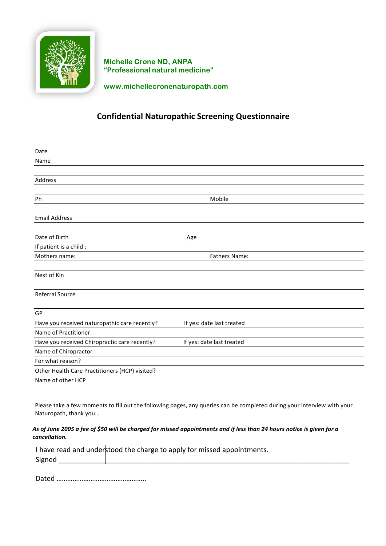

**Michelle Crone ND, ANPA "Professional natural medicine"** 

**www.michellecronenaturopath.com**

## **Confidential Naturopathic Screening Questionnaire**

| Date                                           |                           |
|------------------------------------------------|---------------------------|
| Name                                           |                           |
|                                                |                           |
| Address                                        |                           |
|                                                |                           |
| Ph                                             | Mobile                    |
|                                                |                           |
| <b>Email Address</b>                           |                           |
|                                                |                           |
| Date of Birth                                  | Age                       |
| If patient is a child :                        |                           |
| Mothers name:                                  | <b>Fathers Name:</b>      |
|                                                |                           |
| Next of Kin                                    |                           |
|                                                |                           |
| <b>Referral Source</b>                         |                           |
|                                                |                           |
| GP                                             |                           |
| Have you received naturopathic care recently?  | If yes: date last treated |
| Name of Practitioner:                          |                           |
| Have you received Chiropractic care recently?  | If yes: date last treated |
| Name of Chiropractor                           |                           |
| For what reason?                               |                           |
| Other Health Care Practitioners (HCP) visited? |                           |
| Name of other HCP                              |                           |

Please take a few moments to fill out the following pages, any queries can be completed during your interview with your Naturopath, thank you...

### As of June 2005 a fee of \$50 will be charged for missed appointments and if less than 24 hours notice is given for a *cancellation.*

I have read and understood the charge to apply for missed appointments. Signed **and** 

 Dated …………………………………………..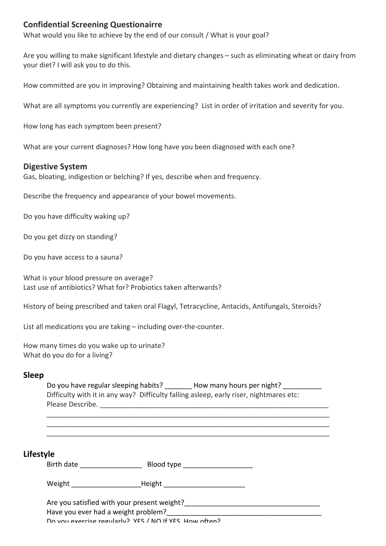## **Confidential Screening Questionairre**

What would you like to achieve by the end of our consult / What is your goal?

Are you willing to make significant lifestyle and dietary changes – such as eliminating wheat or dairy from your diet? I will ask you to do this.

How committed are you in improving? Obtaining and maintaining health takes work and dedication.

What are all symptoms you currently are experiencing? List in order of irritation and severity for you.

How long has each symptom been present?

What are your current diagnoses? How long have you been diagnosed with each one?

### **Digestive System**

Gas, bloating, indigestion or belching? If yes, describe when and frequency.

Describe the frequency and appearance of your bowel movements.

Do you have difficulty waking up?

Do you get dizzy on standing?

Do you have access to a sauna?

What is your blood pressure on average? Last use of antibiotics? What for? Probiotics taken afterwards?

History of being prescribed and taken oral Flagyl, Tetracycline, Antacids, Antifungals, Steroids?

List all medications you are taking  $-$  including over-the-counter.

How many times do you wake up to urinate? What do you do for a living?

### **Sleep**

Do you have regular sleeping habits? How many hours per night? Difficulty with it in any way? Difficulty falling asleep, early riser, nightmares etc: Please Describe. \_\_\_\_\_\_\_\_\_\_\_\_\_\_\_\_\_\_\_\_\_\_\_\_\_\_\_\_\_\_\_\_\_\_\_\_\_\_\_\_\_\_\_\_\_\_\_\_\_\_\_\_\_\_\_\_\_\_\_

\_\_\_\_\_\_\_\_\_\_\_\_\_\_\_\_\_\_\_\_\_\_\_\_\_\_\_\_\_\_\_\_\_\_\_\_\_\_\_\_\_\_\_\_\_\_\_\_\_\_\_\_\_\_\_\_\_\_\_\_\_\_\_\_\_\_\_\_\_\_\_\_\_ \_\_\_\_\_\_\_\_\_\_\_\_\_\_\_\_\_\_\_\_\_\_\_\_\_\_\_\_\_\_\_\_\_\_\_\_\_\_\_\_\_\_\_\_\_\_\_\_\_\_\_\_\_\_\_\_\_\_\_\_\_\_\_\_\_\_\_\_\_\_\_\_\_ \_\_\_\_\_\_\_\_\_\_\_\_\_\_\_\_\_\_\_\_\_\_\_\_\_\_\_\_\_\_\_\_\_\_\_\_\_\_\_\_\_\_\_\_\_\_\_\_\_\_\_\_\_\_\_\_\_\_\_\_\_\_\_\_\_\_\_\_\_\_\_\_\_

### **Lifestyle**

Birth date and the set of Blood type and the Blood type  $\Box$ 

Weight **Example 20** Height **Example 20** Height **Example 20** Height **Example 20** Height **Example 20** Height **Example 20** Height **Example 20** Height **Example 20** Height **Example 20** Height **Example 20** Height **Example 20** He

Are you satisfied with your present weight? Have you ever had a weight problem? Do vou exercise regularly? VES / NO If VES How often?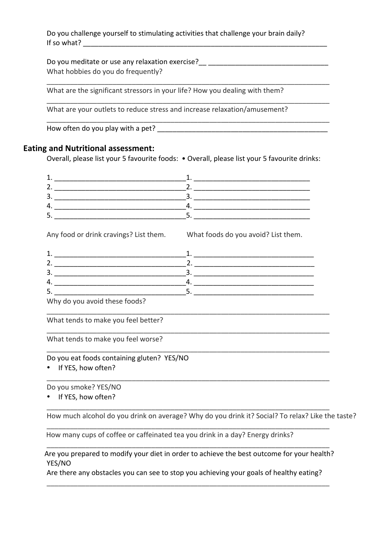Do you challenge yourself to stimulating activities that challenge your brain daily? If so what?

Do you meditate or use any relaxation exercise? What hobbies do you do frequently?

\_\_\_\_\_\_\_\_\_\_\_\_\_\_\_\_\_\_\_\_\_\_\_\_\_\_\_\_\_\_\_\_\_\_\_\_\_\_\_\_\_\_\_\_\_\_\_\_\_\_\_\_\_\_\_\_\_\_\_\_\_\_\_\_\_\_\_\_\_\_\_\_\_

\_\_\_\_\_\_\_\_\_\_\_\_\_\_\_\_\_\_\_\_\_\_\_\_\_\_\_\_\_\_\_\_\_\_\_\_\_\_\_\_\_\_\_\_\_\_\_\_\_\_\_\_\_\_\_\_\_\_\_\_\_\_\_\_\_\_\_\_\_\_\_\_\_

\_\_\_\_\_\_\_\_\_\_\_\_\_\_\_\_\_\_\_\_\_\_\_\_\_\_\_\_\_\_\_\_\_\_\_\_\_\_\_\_\_\_\_\_\_\_\_\_\_\_\_\_\_\_\_\_\_\_\_\_\_\_\_\_\_\_\_\_\_\_\_\_\_

What are the significant stressors in your life? How you dealing with them?

What are your outlets to reduce stress and increase relaxation/amusement?

How often do you play with a pet?

### **Eating and Nutritional assessment:**

Overall, please list your 5 favourite foods: • Overall, please list your 5 favourite drinks:

| ۰. |  |
|----|--|
|    |  |
|    |  |

Any food or drink cravings? List them. What foods do you avoid? List them.

| э<br>. ت                                                                                                       |  |
|----------------------------------------------------------------------------------------------------------------|--|
| 4.                                                                                                             |  |
| <u>.</u>                                                                                                       |  |
| A A The contract the contract and contract the contract of the contract of the contract of the contract of the |  |

\_\_\_\_\_\_\_\_\_\_\_\_\_\_\_\_\_\_\_\_\_\_\_\_\_\_\_\_\_\_\_\_\_\_\_\_\_\_\_\_\_\_\_\_\_\_\_\_\_\_\_\_\_\_\_\_\_\_\_\_\_\_\_\_\_\_\_\_\_\_\_\_\_

\_\_\_\_\_\_\_\_\_\_\_\_\_\_\_\_\_\_\_\_\_\_\_\_\_\_\_\_\_\_\_\_\_\_\_\_\_\_\_\_\_\_\_\_\_\_\_\_\_\_\_\_\_\_\_\_\_\_\_\_\_\_\_\_\_\_\_\_\_\_\_\_\_

\_\_\_\_\_\_\_\_\_\_\_\_\_\_\_\_\_\_\_\_\_\_\_\_\_\_\_\_\_\_\_\_\_\_\_\_\_\_\_\_\_\_\_\_\_\_\_\_\_\_\_\_\_\_\_\_\_\_\_\_\_\_\_\_\_\_\_\_\_\_\_\_\_

\_\_\_\_\_\_\_\_\_\_\_\_\_\_\_\_\_\_\_\_\_\_\_\_\_\_\_\_\_\_\_\_\_\_\_\_\_\_\_\_\_\_\_\_\_\_\_\_\_\_\_\_\_\_\_\_\_\_\_\_\_\_\_\_\_\_\_\_\_\_\_\_\_

\_\_\_\_\_\_\_\_\_\_\_\_\_\_\_\_\_\_\_\_\_\_\_\_\_\_\_\_\_\_\_\_\_\_\_\_\_\_\_\_\_\_\_\_\_\_\_\_\_\_\_\_\_\_\_\_\_\_\_\_\_\_\_\_\_\_\_\_\_\_\_\_\_

\_\_\_\_\_\_\_\_\_\_\_\_\_\_\_\_\_\_\_\_\_\_\_\_\_\_\_\_\_\_\_\_\_\_\_\_\_\_\_\_\_\_\_\_\_\_\_\_\_\_\_\_\_\_\_\_\_\_\_\_\_\_\_\_\_\_\_\_\_\_\_\_\_

\_\_\_\_\_\_\_\_\_\_\_\_\_\_\_\_\_\_\_\_\_\_\_\_\_\_\_\_\_\_\_\_\_\_\_\_\_\_\_\_\_\_\_\_\_\_\_\_\_\_\_\_\_\_\_\_\_\_\_\_\_\_\_\_\_\_\_\_\_\_\_\_\_

Why do you avoid these foods?

What tends to make you feel better?

What tends to make you feel worse?

Do you eat foods containing gluten? YES/NO

• If YES, how often?

Do you smoke? YES/NO

• If YES, how often?

How much alcohol do you drink on average? Why do you drink it? Social? To relax? Like the taste?

How many cups of coffee or caffeinated tea you drink in a day? Energy drinks?

Are you prepared to modify your diet in order to achieve the best outcome for your health? YES/NO 

Are there any obstacles you can see to stop you achieving your goals of healthy eating? \_\_\_\_\_\_\_\_\_\_\_\_\_\_\_\_\_\_\_\_\_\_\_\_\_\_\_\_\_\_\_\_\_\_\_\_\_\_\_\_\_\_\_\_\_\_\_\_\_\_\_\_\_\_\_\_\_\_\_\_\_\_\_\_\_\_\_\_\_\_\_\_\_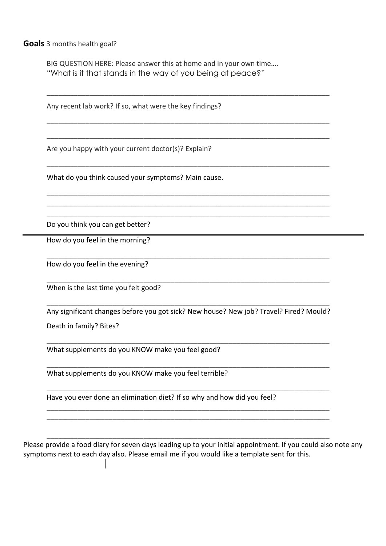**Goals** 3 months health goal?

BIG QUESTION HERE: Please answer this at home and in your own time.... "What is it that stands in the way of you being at peace?"

\_\_\_\_\_\_\_\_\_\_\_\_\_\_\_\_\_\_\_\_\_\_\_\_\_\_\_\_\_\_\_\_\_\_\_\_\_\_\_\_\_\_\_\_\_\_\_\_\_\_\_\_\_\_\_\_\_\_\_\_\_\_\_\_\_\_\_\_\_\_\_\_\_

\_\_\_\_\_\_\_\_\_\_\_\_\_\_\_\_\_\_\_\_\_\_\_\_\_\_\_\_\_\_\_\_\_\_\_\_\_\_\_\_\_\_\_\_\_\_\_\_\_\_\_\_\_\_\_\_\_\_\_\_\_\_\_\_\_\_\_\_\_\_\_\_\_

\_\_\_\_\_\_\_\_\_\_\_\_\_\_\_\_\_\_\_\_\_\_\_\_\_\_\_\_\_\_\_\_\_\_\_\_\_\_\_\_\_\_\_\_\_\_\_\_\_\_\_\_\_\_\_\_\_\_\_\_\_\_\_\_\_\_\_\_\_\_\_\_\_

\_\_\_\_\_\_\_\_\_\_\_\_\_\_\_\_\_\_\_\_\_\_\_\_\_\_\_\_\_\_\_\_\_\_\_\_\_\_\_\_\_\_\_\_\_\_\_\_\_\_\_\_\_\_\_\_\_\_\_\_\_\_\_\_\_\_\_\_\_\_\_\_\_

\_\_\_\_\_\_\_\_\_\_\_\_\_\_\_\_\_\_\_\_\_\_\_\_\_\_\_\_\_\_\_\_\_\_\_\_\_\_\_\_\_\_\_\_\_\_\_\_\_\_\_\_\_\_\_\_\_\_\_\_\_\_\_\_\_\_\_\_\_\_\_\_\_ \_\_\_\_\_\_\_\_\_\_\_\_\_\_\_\_\_\_\_\_\_\_\_\_\_\_\_\_\_\_\_\_\_\_\_\_\_\_\_\_\_\_\_\_\_\_\_\_\_\_\_\_\_\_\_\_\_\_\_\_\_\_\_\_\_\_\_\_\_\_\_\_\_ \_\_\_\_\_\_\_\_\_\_\_\_\_\_\_\_\_\_\_\_\_\_\_\_\_\_\_\_\_\_\_\_\_\_\_\_\_\_\_\_\_\_\_\_\_\_\_\_\_\_\_\_\_\_\_\_\_\_\_\_\_\_\_\_\_\_\_\_\_\_\_\_\_

\_\_\_\_\_\_\_\_\_\_\_\_\_\_\_\_\_\_\_\_\_\_\_\_\_\_\_\_\_\_\_\_\_\_\_\_\_\_\_\_\_\_\_\_\_\_\_\_\_\_\_\_\_\_\_\_\_\_\_\_\_\_\_\_\_\_\_\_\_\_\_\_\_

\_\_\_\_\_\_\_\_\_\_\_\_\_\_\_\_\_\_\_\_\_\_\_\_\_\_\_\_\_\_\_\_\_\_\_\_\_\_\_\_\_\_\_\_\_\_\_\_\_\_\_\_\_\_\_\_\_\_\_\_\_\_\_\_\_\_\_\_\_\_\_\_\_

Any recent lab work? If so, what were the key findings?

Are you happy with your current doctor(s)? Explain?

What do you think caused your symptoms? Main cause.

Do you think you can get better?

How do you feel in the morning?

How do you feel in the evening?

When is the last time you felt good?

Any significant changes before you got sick? New house? New job? Travel? Fired? Mould? Death in family? Bites?

\_\_\_\_\_\_\_\_\_\_\_\_\_\_\_\_\_\_\_\_\_\_\_\_\_\_\_\_\_\_\_\_\_\_\_\_\_\_\_\_\_\_\_\_\_\_\_\_\_\_\_\_\_\_\_\_\_\_\_\_\_\_\_\_\_\_\_\_\_\_\_\_\_

\_\_\_\_\_\_\_\_\_\_\_\_\_\_\_\_\_\_\_\_\_\_\_\_\_\_\_\_\_\_\_\_\_\_\_\_\_\_\_\_\_\_\_\_\_\_\_\_\_\_\_\_\_\_\_\_\_\_\_\_\_\_\_\_\_\_\_\_\_\_\_\_\_

\_\_\_\_\_\_\_\_\_\_\_\_\_\_\_\_\_\_\_\_\_\_\_\_\_\_\_\_\_\_\_\_\_\_\_\_\_\_\_\_\_\_\_\_\_\_\_\_\_\_\_\_\_\_\_\_\_\_\_\_\_\_\_\_\_\_\_\_\_\_\_\_\_

\_\_\_\_\_\_\_\_\_\_\_\_\_\_\_\_\_\_\_\_\_\_\_\_\_\_\_\_\_\_\_\_\_\_\_\_\_\_\_\_\_\_\_\_\_\_\_\_\_\_\_\_\_\_\_\_\_\_\_\_\_\_\_\_\_\_\_\_\_\_\_\_\_ \_\_\_\_\_\_\_\_\_\_\_\_\_\_\_\_\_\_\_\_\_\_\_\_\_\_\_\_\_\_\_\_\_\_\_\_\_\_\_\_\_\_\_\_\_\_\_\_\_\_\_\_\_\_\_\_\_\_\_\_\_\_\_\_\_\_\_\_\_\_\_\_\_

\_\_\_\_\_\_\_\_\_\_\_\_\_\_\_\_\_\_\_\_\_\_\_\_\_\_\_\_\_\_\_\_\_\_\_\_\_\_\_\_\_\_\_\_\_\_\_\_\_\_\_\_\_\_\_\_\_\_\_\_\_\_\_\_\_\_\_\_\_\_\_\_\_

\_\_\_\_\_\_\_\_\_\_\_\_\_\_\_\_\_\_\_\_\_\_\_\_\_\_\_\_\_\_\_\_\_\_\_\_\_\_\_\_\_\_\_\_\_\_\_\_\_\_\_\_\_\_\_\_\_\_\_\_\_\_\_\_\_\_\_\_\_\_\_\_\_

What supplements do you KNOW make you feel good?

What supplements do you KNOW make you feel terrible?

Have you ever done an elimination diet? If so why and how did you feel?

Please provide a food diary for seven days leading up to your initial appointment. If you could also note any symptoms next to each day also. Please email me if you would like a template sent for this.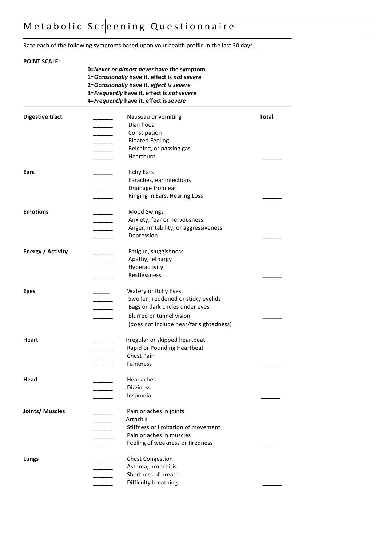# Metabolic Screening Questionnaire

Rate each of the following symptoms based upon your health profile in the last 30 days...

## **POINT SCALE: 0=***Never or almost never* **have the symptom 1=***Occasionally* **have it, effect is** *not severe* **2=***Occasionally* **have it,** *effect is severe* **3=***Frequently* **have it, effect is** *not severe* **4=***Frequently* **have it, effect is** *severe* **Digestive tract \_\_\_\_\_\_** Nauseau or vomiting **Total** \_\_\_\_\_\_ Diarrhoea \_\_\_\_\_\_ Constipation \_\_\_\_\_\_ Bloated Feeling Belching, or passing gas \_\_\_\_\_\_ Heartburn **\_\_\_\_\_\_ Ears Ears Ears Ears Ears Ears Ears Ears Ears Ears Ears Ears Ears** Earaches, ear infections Drainage from ear Ringing in Ears, Hearing Loss **Emotions \_\_\_\_\_** Mood Swings Anxiety, fear or nervousness Anger, Irritability, or aggressiveness \_\_\_\_\_\_ Depression **\_\_\_\_\_\_ Energy / Activity**  $\frac{1}{2}$  Fatigue, sluggishness Apathy, lethargy \_\_\_\_\_\_ Hyperactivity \_\_\_\_\_\_ Restlessness **\_\_\_\_\_\_ Eyes CONFIDENT CONFIDENT CONFIDENT CONFIDENT CONFIDENT CONFIDENT CONFIDENT CONFIDENT CONFIDENT CONFIDENT CONFIDENT CONFIDENT CONFIDENT CONFIDENT CONFIDENT CONFIDENT CONFIDENT CONFIDENT** Swollen, reddened or sticky eyelids Bags or dark circles under eyes Blurred or tunnel vision (does not include near/far sightedness) Heart **Interposite Lightnife Lightnife Lightnife Lightnife Lightnife Lightnife Lightnife Lightnife Lightnife Lightnife Lightnife Lightnife Lightnife Lightnife Lightnife Lightnife Lightnife Lightnife Lightnife Lightnife Lig** Rapid or Pounding Heartbeat Chest Pain Faintness **Head \_\_\_\_\_\_** Headaches Dizziness Insomnia **Joints/ Muscles \_\_\_\_\_\_** Pain or aches in joints \_\_\_\_\_\_ Arthritis Stiffness or limitation of movement Pain or aches in muscles Feeling of weakness or tiredness **Lungs Lungs Chest Congestion** Asthma, bronchitis Shortness of breath Difficulty breathing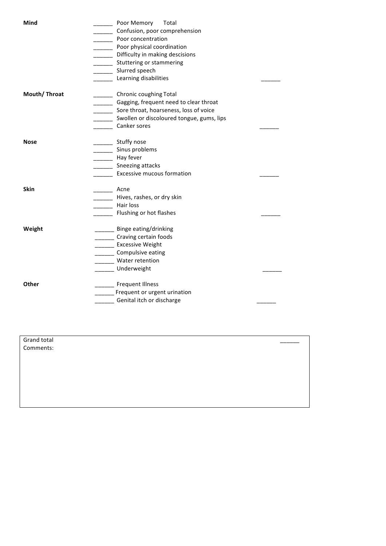| Mind         | Poor Memory<br>Total                                                  |  |
|--------------|-----------------------------------------------------------------------|--|
|              | Confusion, poor comprehension                                         |  |
|              | Poor concentration                                                    |  |
|              | Poor physical coordination<br>$\overline{\phantom{0}}$                |  |
|              | Difficulty in making descisions<br>$\overline{\phantom{a}}$           |  |
|              | Stuttering or stammering<br>$\overline{\phantom{a}}$                  |  |
|              | Slurred speech<br>$\overline{\phantom{a}}$                            |  |
|              | Learning disabilities                                                 |  |
| Mouth/Throat | Chronic coughing Total                                                |  |
|              | Gagging, frequent need to clear throat                                |  |
|              | Sore throat, hoarseness, loss of voice                                |  |
|              | Swollen or discoloured tongue, gums, lips<br>$\overline{\phantom{a}}$ |  |
|              | Canker sores                                                          |  |
|              |                                                                       |  |
| <b>Nose</b>  | Stuffy nose                                                           |  |
|              | Sinus problems<br>$\overline{\phantom{a}}$                            |  |
|              | Hay fever<br>$\overline{\phantom{a}}$                                 |  |
|              | Sneezing attacks<br>$\mathcal{L}^{\mathcal{L}}$                       |  |
|              | <b>Excessive mucous formation</b>                                     |  |
| <b>Skin</b>  | Acne                                                                  |  |
|              | Hives, rashes, or dry skin                                            |  |
|              | Hair loss                                                             |  |
|              | Flushing or hot flashes                                               |  |
| Weight       | _____ Binge eating/drinking                                           |  |
|              | ____ Craving certain foods                                            |  |
|              | <b>Excessive Weight</b>                                               |  |
|              | ____ Compulsive eating                                                |  |
|              | Water retention                                                       |  |
|              | Underweight                                                           |  |
| Other        | Frequent Illness                                                      |  |
|              | Frequent or urgent urination                                          |  |
|              | Genital itch or discharge                                             |  |
|              |                                                                       |  |

Grand total Comments: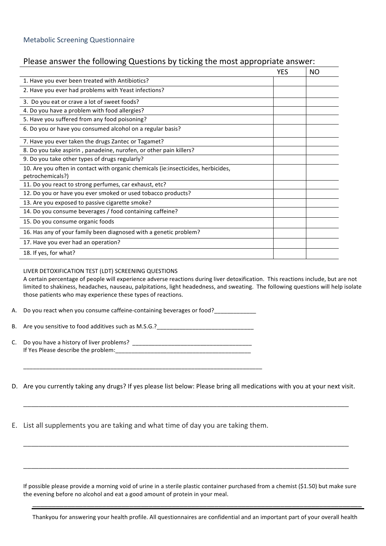### Please answer the following Questions by ticking the most appropriate answer:

|                                                                                                       | <b>YES</b> | ΝO |
|-------------------------------------------------------------------------------------------------------|------------|----|
| 1. Have you ever been treated with Antibiotics?                                                       |            |    |
| 2. Have you ever had problems with Yeast infections?                                                  |            |    |
| 3. Do you eat or crave a lot of sweet foods?                                                          |            |    |
| 4. Do you have a problem with food allergies?                                                         |            |    |
| 5. Have you suffered from any food poisoning?                                                         |            |    |
| 6. Do you or have you consumed alcohol on a regular basis?                                            |            |    |
| 7. Have you ever taken the drugs Zantec or Tagamet?                                                   |            |    |
| 8. Do you take aspirin, panadeine, nurofen, or other pain killers?                                    |            |    |
| 9. Do you take other types of drugs regularly?                                                        |            |    |
| 10. Are you often in contact with organic chemicals (ie:insecticides, herbicides,<br>petrochemicals?) |            |    |
| 11. Do you react to strong perfumes, car exhaust, etc?                                                |            |    |
| 12. Do you or have you ever smoked or used tobacco products?                                          |            |    |
| 13. Are you exposed to passive cigarette smoke?                                                       |            |    |
| 14. Do you consume beverages / food containing caffeine?                                              |            |    |
| 15. Do you consume organic foods                                                                      |            |    |
| 16. Has any of your family been diagnosed with a genetic problem?                                     |            |    |
| 17. Have you ever had an operation?                                                                   |            |    |
| 18. If yes, for what?                                                                                 |            |    |

#### LIVER DETOXIFICATION TEST (LDT) SCREENING QUESTIONS

A certain percentage of people will experience adverse reactions during liver detoxification. This reactions include, but are not limited to shakiness, headaches, nauseau, palpitations, light headedness, and sweating. The following questions will help isolate those patients who may experience these types of reactions.

A. Do you react when you consume caffeine-containing beverages or food?

B. Are you sensitive to food additives such as M.S.G.?

C. Do you have a history of liver problems? \_\_\_\_\_\_\_\_\_\_\_\_\_\_\_\_\_\_\_\_\_\_\_\_\_\_\_\_\_\_\_\_\_\_\_\_\_ If Yes Please describe the problem:

D. Are you currently taking any drugs? If yes please list below: Please bring all medications with you at your next visit.

\_\_\_\_\_\_\_\_\_\_\_\_\_\_\_\_\_\_\_\_\_\_\_\_\_\_\_\_\_\_\_\_\_\_\_\_\_\_\_\_\_\_\_\_\_\_\_\_\_\_\_\_\_\_\_\_\_\_\_\_\_\_\_\_\_\_\_\_\_\_\_\_\_\_\_\_\_\_\_\_\_\_\_\_

\_\_\_\_\_\_\_\_\_\_\_\_\_\_\_\_\_\_\_\_\_\_\_\_\_\_\_\_\_\_\_\_\_\_\_\_\_\_\_\_\_\_\_\_\_\_\_\_\_\_\_\_\_\_\_\_\_\_\_\_\_\_\_\_\_\_\_\_\_\_\_\_\_\_\_\_\_\_\_\_\_\_\_\_

\_\_\_\_\_\_\_\_\_\_\_\_\_\_\_\_\_\_\_\_\_\_\_\_\_\_\_\_\_\_\_\_\_\_\_\_\_\_\_\_\_\_\_\_\_\_\_\_\_\_\_\_\_\_\_\_\_\_\_\_\_\_\_\_\_\_\_\_\_\_\_\_\_\_\_\_\_\_\_\_\_\_\_\_

E. List all supplements you are taking and what time of day you are taking them.

\_\_\_\_\_\_\_\_\_\_\_\_\_\_\_\_\_\_\_\_\_\_\_\_\_\_\_\_\_\_\_\_\_\_\_\_\_\_\_\_\_\_\_\_\_\_\_\_\_\_\_\_\_\_\_\_\_\_\_\_\_\_\_\_\_\_\_\_\_\_\_\_\_\_

If possible please provide a morning void of urine in a sterile plastic container purchased from a chemist (\$1.50) but make sure the evening before no alcohol and eat a good amount of protein in your meal.

\_\_\_\_\_\_\_\_\_\_\_\_\_\_\_\_\_\_\_\_\_\_\_\_\_\_\_\_\_\_\_\_\_\_\_\_\_\_\_\_\_\_\_\_\_\_\_\_\_\_\_\_\_\_\_\_\_\_\_\_\_\_\_\_\_\_\_\_\_\_\_\_\_\_\_\_\_\_\_\_\_\_\_\_\_